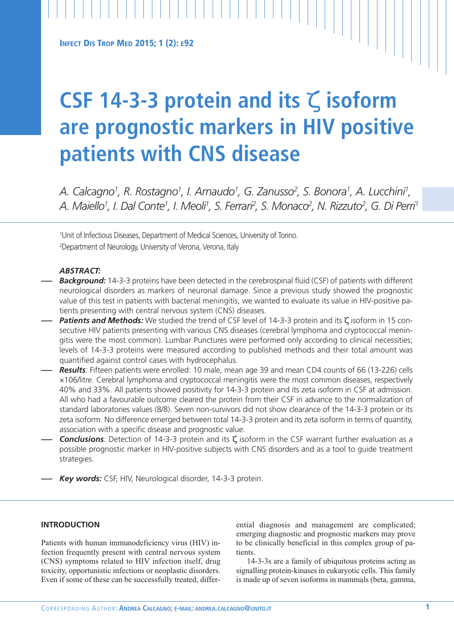**INFECT DIS TROP MED 2015; 1 (2): E92**

# **CSF 14-3-3 protein and its** ζ **isoform are prognostic markers in HIV positive patients with CNS disease**

*A. Calcagno1 , R. Rostagno1 , I. Arnaudo1 , G. Zanusso2 , S. Bonora1 , A. Lucchini 1 ,* A. Maiello<sup>1</sup>, I. Dal Conte<sup>1</sup>, I. Meoli<sup>1</sup>, S. Ferrari<sup>2</sup>, S. Monaco<sup>2</sup>, N. Rizzuto<sup>2</sup>, G. Di Perri<sup>1</sup>

1 Unit of Infectious Diseases, Department of Medical Sciences, University of Torino. 2 Department of Neurology, University of Verona, Verona, Italy

# *ABSTRACT:*

- **Background:** 14-3-3 proteins have been detected in the cerebrospinal fluid (CSF) of patients with different neurological disorders as markers of neuronal damage. Since a previous study showed the prognostic value of this test in patients with bacterial meningitis, we wanted to evaluate its value in HIV-positive patients presenting with central nervous system (CNS) diseases.
- *— Patients and Methods:* We studied the trend of CSF level of 14-3-3 protein and its <sup>ζ</sup> isoform in <sup>15</sup> consecutive HIV patients presenting with various CNS diseases (cerebral lymphoma and cryptococcal meningitis were the most common). Lumbar Punctures were performed only according to clinical necessities; levels of 14-3-3 proteins were measured according to published methods and their total amount was quantified against control cases with hydrocephalus.
- *— Results:* Fifteen patients were enrolled: 10 male, mean age 39 and mean CD4 counts of 66 (13-226) cells ×106/litre. Cerebral lymphoma and cryptococcal meningitis were the most common diseases, respectively 40% and 33%. All patients showed positivity for 14-3-3 protein and its zeta isoform in CSF at admission. All who had a favourable outcome cleared the protein from their CSF in advance to the normalization of standard laboratories values (8/8). Seven non-survivors did not show clearance of the 14-3-3 protein or its zeta isoform. No difference emerged between total 14-3-3 protein and its zeta isoform in terms of quantity, association with a specific disease and prognostic value.
- *— Conclusions:* Detection of 14-3-3 protein and its <sup>ζ</sup> isoform in the CSF warrant further evaluation as <sup>a</sup> possible prognostic marker in HIV-positive subjects with CNS disorders and as a tool to guide treatment strategies.
- *— Key words:* CSF, HIV, Neurological disorder, 14-3-3 protein.

# **INTRODUCTION**

Patients with human immunodeficiency virus (HIV) infection frequently present with central nervous system (CNS) symptoms related to HIV infection itself, drug toxicity, opportunistic infections or neoplastic disorders. Even if some of these can be successfully treated, differential diagnosis and management are complicated; emerging diagnostic and prognostic markers may prove to be clinically beneficial in this complex group of patients.

14-3-3s are a family of ubiquitous proteins acting as signalling protein-kinases in eukaryotic cells. This family is made up of seven isoforms in mammals (beta, gamma,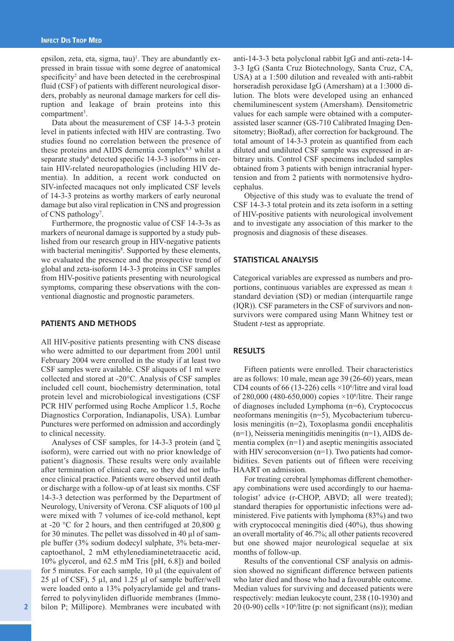epsilon, zeta, eta, sigma, tau)<sup>1</sup>. They are abundantly expressed in brain tissue with some degree of anatomical specificity<sup>2</sup> and have been detected in the cerebrospinal fluid (CSF) of patients with different neurological disorders, probably as neuronal damage markers for cell disruption and leakage of brain proteins into this compartment 3 .

Data about the measurement of CSF 14-3-3 protein level in patients infected with HIV are contrasting. Two studies found no correlation between the presence of these proteins and AIDS dementia complex<sup>4,5</sup> whilst a separate study<sup>6</sup> detected specific 14-3-3 isoforms in certain HIV-related neuropathologies (including HIV dementia). In addition, a recent work conducted on SIV-infected macaques not only implicated CSF levels of 14-3-3 proteins as worthy markers of early neuronal damage but also viral replication in CNS and progression of CNS pathology<sup>7</sup>.

Furthermore, the prognostic value of CSF 14-3-3s as markers of neuronal damage is supported by a study published from our research group in HIV-negative patients with bacterial meningitis<sup>8</sup>. Supported by these elements, we evaluated the presence and the prospective trend of global and zeta-isoform 14-3-3 proteins in CSF samples from HIV-positive patients presenting with neurological symptoms, comparing these observations with the conventional diagnostic and prognostic parameters.

## **PATIENTS AND METHODS**

All HIV-positive patients presenting with CNS disease who were admitted to our department from 2001 until February 2004 were enrolled in the study if at least two CSF samples were available. CSF aliquots of 1 ml were collected and stored at -20°C. Analysis of CSF samples included cell count, biochemistry determination, total protein level and microbiological investigations (CSF PCR HIV performed using Roche Amplicor 1.5, Roche Diagnostics Corporation, Indianapolis, USA). Lumbar Punctures were performed on admission and accordingly to clinical necessity.

Analyses of CSF samples, for 14-3-3 protein (and  $\zeta$ isoform), were carried out with no prior knowledge of patient's diagnosis. These results were only available after termination of clinical care, so they did not influence clinical practice. Patients were observed until death or discharge with a follow-up of at least six months. CSF 14-3-3 detection was performed by the Department of Neurology, University of Verona. CSF aliquots of 100 µl were mixed with 7 volumes of ice-cold methanol, kept at -20 °C for 2 hours, and then centrifuged at 20,800 g for 30 minutes. The pellet was dissolved in 40 µl of sample buffer (3% sodium dodecyl sulphate, 3% beta-mercaptoethanol, 2 mM ethylenediaminetetraacetic acid, 10% glycerol, and 62.5 mM Tris [pH, 6.8]) and boiled for 5 minutes. For each sample, 10 µl (the equivalent of 25 µl of CSF), 5 µl, and 1.25 µl of sample buffer/well were loaded onto a 13% polyacrylamide gel and transferred to polyvinyliden difluoride membranes (Immobilon P; Millipore). Membranes were incubated with

anti-14-3-3 beta polyclonal rabbit IgG and anti-zeta-14- 3-3 IgG (Santa Cruz Biotechnology, Santa Cruz, CA, USA) at a 1:500 dilution and revealed with anti-rabbit horseradish peroxidase IgG (Amersham) at a 1:3000 dilution. The blots were developed using an enhanced chemiluminescent system (Amersham). Densitometric values for each sample were obtained with a computerassisted laser scanner (GS-710 Calibrated Imaging Densitometry; BioRad), after correction for background. The total amount of 14-3-3 protein as quantified from each diluted and undiluted CSF sample was expressed in arbitrary units. Control CSF specimens included samples obtained from 3 patients with benign intracranial hypertension and from 2 patients with normotensive hydrocephalus.

Objective of this study was to evaluate the trend of CSF 14-3-3 total protein and its zeta isoform in a setting of HIV-positive patients with neurological involvement and to investigate any association of this marker to the prognosis and diagnosis of these diseases.

#### **STATISTICAL ANALYSIS**

Categorical variables are expressed as numbers and proportions, continuous variables are expressed as mean ± standard deviation (SD) or median (interquartile range (IQR)). CSF parameters in the CSF of survivors and nonsurvivors were compared using Mann Whitney test or Student *t*-test as appropriate.

## **RESULTS**

Fifteen patients were enrolled. Their characteristics are as follows: 10 male, mean age 39 (26-60) years, mean CD4 counts of 66 (13-226) cells  $\times$ 10<sup>6</sup>/litre and viral load of 280,000 (480-650,000) copies ×10<sup>6</sup>/litre. Their range of diagnoses included Lymphoma (n=6), Cryptococcus neoformans meningitis (n=5), Mycobacterium tuberculosis meningitis (n=2), Toxoplasma gondii encephalitis (n=1), Neisseria meningitidis meningitis (n=1), AIDS dementia complex (n=1) and aseptic meningitis associated with HIV seroconversion (n=1). Two patients had comorbidities. Seven patients out of fifteen were receiving HAART on admission.

For treating cerebral lymphomas different chemotherapy combinations were used accordingly to our haematologist' advice (r-CHOP, ABVD; all were treated); standard therapies for opportunistic infections were administered. Five patients with lymphoma (83%) and two with cryptococcal meningitis died (40%), thus showing an overall mortality of 46.7%; all other patients recovered but one showed major neurological sequelae at six months of follow-up.

Results of the conventional CSF analysis on admission showed no significant difference between patients who later died and those who had a favourable outcome. Median values for surviving and deceased patients were respectively: median leukocyte count, 238 (10-1930) and 20 (0-90) cells  $\times$ 10<sup>6</sup>/litre (p: not significant (ns)); median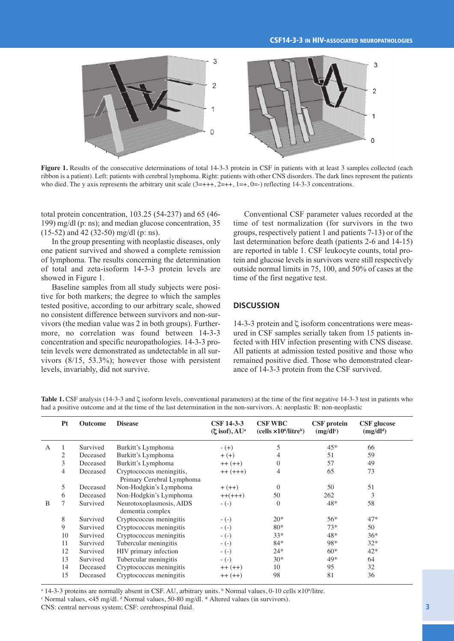

**Figure 1.** Results of the consecutive determinations of total 14-3-3 protein in CSF in patients with at least 3 samples collected (each ribbon is a patient). Left: patients with cerebral lymphoma. Right: patients with other CNS disorders. The dark lines represent the patients who died. The y axis represents the arbitrary unit scale  $(3=+++, 2=++)$ ,  $1=+, 0=-)$  reflecting 14-3-3 concentrations.

total protein concentration, 103.25 (54-237) and 65 (46- 199) mg/dl (p: ns); and median glucose concentration, 35 (15-52) and 42 (32-50) mg/dl (p: ns).

In the group presenting with neoplastic diseases, only one patient survived and showed a complete remission of lymphoma. The results concerning the determination of total and zeta-isoform 14-3-3 protein levels are showed in Figure 1.

Baseline samples from all study subjects were positive for both markers; the degree to which the samples tested positive, according to our arbitrary scale, showed no consistent difference between survivors and non-survivors (the median value was 2 in both groups). Furthermore, no correlation was found between 14-3-3 concentration and specific neuropathologies. 14-3-3 protein levels were demonstrated as undetectable in all survivors (8/15, 53.3%); however those with persistent levels, invariably, did not survive.

Conventional CSF parameter values recorded at the time of test normalization (for survivors in the two groups, respectively patient 1 and patients 7-13) or of the last determination before death (patients 2-6 and 14-15) are reported in table 1. CSF leukocyte counts, total protein and glucose levels in survivors were still respectively outside normal limits in 75, 100, and 50% of cases at the time of the first negative test.

## **DISCUSSION**

14-3-3 protein and  $\zeta$  isoform concentrations were measured in CSF samples serially taken from 15 patients infected with HIV infection presenting with CNS disease. All patients at admission tested positive and those who remained positive died. Those who demonstrated clearance of 14-3-3 protein from the CSF survived.

|   | Pt             | <b>Outcome</b> | <b>Disease</b>                                        | <b>CSF 14-3-3</b><br>$(\zeta$ isof), $AU^a$ | <b>CSF WBC</b><br>$(cells \times 10^6/litre^b)$ | <b>CSF</b> protein<br>$(mg/dl^c)$ | <b>CSF</b> glucose<br>$(mg/dl^d)$ |
|---|----------------|----------------|-------------------------------------------------------|---------------------------------------------|-------------------------------------------------|-----------------------------------|-----------------------------------|
| A |                | Survived       | Burkitt's Lymphoma                                    | $- (+)$                                     | 5                                               | $45*$                             | 66                                |
|   | $\overline{2}$ | Deceased       | Burkitt's Lymphoma                                    | $+ (+)$                                     | 4                                               | 51                                | 59                                |
|   | 3              | Deceased       | Burkitt's Lymphoma                                    | $++ (++)$                                   | $\Omega$                                        | 57                                | 49                                |
|   | $\overline{4}$ | Deceased       | Cryptococcus meningitis,<br>Primary Cerebral Lymphoma | $++(+++)$                                   | 4                                               | 65                                | 73                                |
|   | 5              | Deceased       | Non-Hodgkin's Lymphoma                                | $+ (++)$                                    | $\Omega$                                        | 50                                | 51                                |
|   | 6              | Deceased       | Non-Hodgkin's Lymphoma                                | $++(++)$                                    | 50                                              | 262                               | 3                                 |
| B | 7              | Survived       | Neurotoxoplasmosis, AIDS<br>dementia complex          | $-(-)$                                      | $\Omega$                                        | 48*                               | 58                                |
|   | 8              | Survived       | Cryptococcus meningitis                               | $-(-)$                                      | $20*$                                           | $56*$                             | $47*$                             |
|   | 9              | Survived       | Cryptococcus meningitis                               | $-(-)$                                      | $80*$                                           | $73*$                             | 50                                |
|   | 10             | Survived       | Cryptococcus meningitis                               | $-(-)$                                      | $33*$                                           | 48*                               | $36*$                             |
|   | 11             | Survived       | Tubercular meningitis                                 | $-(-)$                                      | $84*$                                           | 98*                               | $32*$                             |
|   | 12             | Survived       | HIV primary infection                                 | $-(-)$                                      | $24*$                                           | $60*$                             | $42*$                             |
|   | 13             | Survived       | Tubercular meningitis                                 | $-(-)$                                      | $30*$                                           | 49*                               | 64                                |
|   | 14             | Deceased       | Cryptococcus meningitis                               | $++ (++)$                                   | 10                                              | 95                                | 32                                |
|   | 15             | Deceased       | Cryptococcus meningitis                               | $++ (++)$                                   | 98                                              | 81                                | 36                                |

**Table 1.** CSF analysis (14-3-3 and ζ isoform levels, conventional parameters) at the time of the first negative 14-3-3 test in patients who had a positive outcome and at the time of the last determination in the non-survivors. A: neoplastic B: non-neoplastic

<sup>a</sup> 14-3-3 proteins are normally absent in CSF. AU, arbitrary units.  $\frac{b}{b}$  Normal values, 0-10 cells  $\times 10^6$ /litre.

 $\textdegree$  Normal values, <45 mg/dl.  $\textdegree$  Normal values, 50-80 mg/dl.  $\textdegree$  Altered values (in survivors).

CNS: central nervous system; CSF: cerebrospinal fluid.